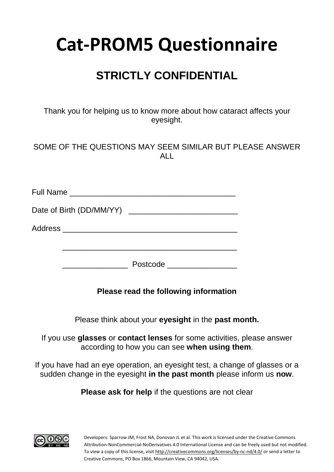# **STRICTLY CONFIDENTIAL**

Thank you for helping us to know more about how cataract affects your eyesight.

#### SOME OF THE QUESTIONS MAY SEEM SIMILAR BUT PLEASE ANSWER ALL

| Full Name ___________________    |          |
|----------------------------------|----------|
|                                  |          |
| Address ________________________ |          |
|                                  | Postcode |

#### **Please read the following information**

Please think about your **eyesight** in the **past month.**

If you use **glasses** or **contact lenses** for some activities, please answer according to how you can see **when using them**.

If you have had an eye operation, an eyesight test, a change of glasses or a sudden change in the eyesight **in the past month** please inform us **now**.

**Please ask for help** if the questions are not clear

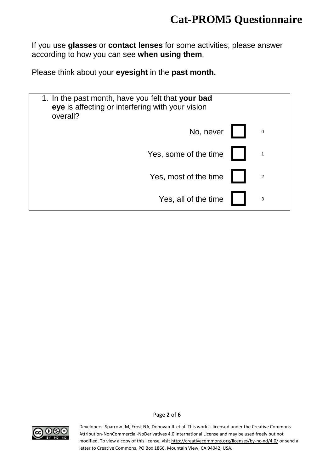If you use **glasses** or **contact lenses** for some activities, please answer according to how you can see **when using them**.

Please think about your **eyesight** in the **past month.**

| 1. In the past month, have you felt that your bad<br>eye is affecting or interfering with your vision<br>overall? |                |
|-------------------------------------------------------------------------------------------------------------------|----------------|
| No, never                                                                                                         | $\mathbf 0$    |
| Yes, some of the time                                                                                             |                |
| Yes, most of the time                                                                                             | $\overline{2}$ |
| Yes, all of the time                                                                                              | 3              |



Page **2** of **6**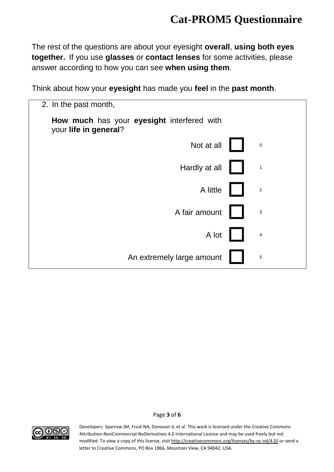The rest of the questions are about your eyesight **overall**, **using both eyes together.** If you use **glasses** or **contact lenses** for some activities, please answer according to how you can see **when using them**.

Think about how your **eyesight** has made you **feel** in the **past month**.

| 2. In the past month,                                               |                |
|---------------------------------------------------------------------|----------------|
| How much has your eyesight interfered with<br>your life in general? |                |
| Not at all                                                          | $\pmb{0}$      |
| Hardly at all                                                       | $\mathbf{1}$   |
| A little                                                            | $\sqrt{2}$     |
| A fair amount                                                       | $\mathbf{3}$   |
| A lot                                                               | $\overline{4}$ |
| An extremely large amount                                           | $\overline{5}$ |



Page **3** of **6**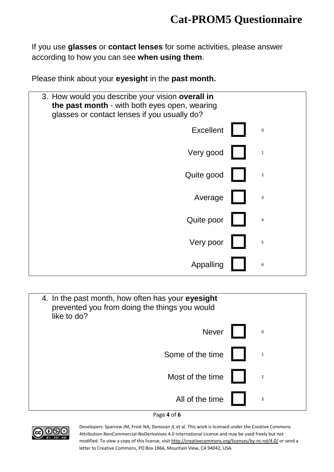If you use **glasses** or **contact lenses** for some activities, please answer according to how you can see **when using them**.

Please think about your **eyesight** in the **past month.**

| 3. How would you describe your vision overall in<br>the past month - with both eyes open, wearing<br>glasses or contact lenses if you usually do? |                |
|---------------------------------------------------------------------------------------------------------------------------------------------------|----------------|
| <b>Excellent</b>                                                                                                                                  | $\bf{0}$       |
| Very good                                                                                                                                         | $\,1\,$        |
| Quite good                                                                                                                                        | $\mathbf 2$    |
| Average                                                                                                                                           | 3              |
| Quite poor                                                                                                                                        | $\overline{4}$ |
| Very poor                                                                                                                                         | 5              |
| Appalling                                                                                                                                         | 6              |

| 4. In the past month, how often has your eyesight<br>prevented you from doing the things you would<br>like to do? |  |              |
|-------------------------------------------------------------------------------------------------------------------|--|--------------|
| <b>Never</b>                                                                                                      |  | $\pmb{0}$    |
| Some of the time                                                                                                  |  | $\mathbf{1}$ |
| Most of the time                                                                                                  |  | $\sqrt{2}$   |
| All of the time                                                                                                   |  | 3            |

#### Page **4** of **6**

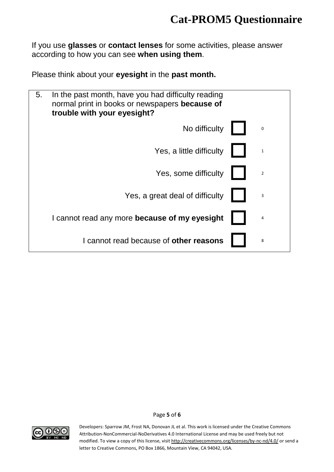If you use **glasses** or **contact lenses** for some activities, please answer according to how you can see **when using them**.

Please think about your **eyesight** in the **past month.**

| 5.<br>In the past month, have you had difficulty reading<br>normal print in books or newspapers because of<br>trouble with your eyesight? |                                               |  |                |
|-------------------------------------------------------------------------------------------------------------------------------------------|-----------------------------------------------|--|----------------|
|                                                                                                                                           | No difficulty                                 |  | $\mathbf 0$    |
|                                                                                                                                           | Yes, a little difficulty                      |  | $\mathbf{1}$   |
|                                                                                                                                           | Yes, some difficulty                          |  | $\overline{2}$ |
|                                                                                                                                           | Yes, a great deal of difficulty               |  | 3              |
|                                                                                                                                           | I cannot read any more because of my eyesight |  | 4              |
|                                                                                                                                           | I cannot read because of other reasons        |  | 8              |



Page **5** of **6**